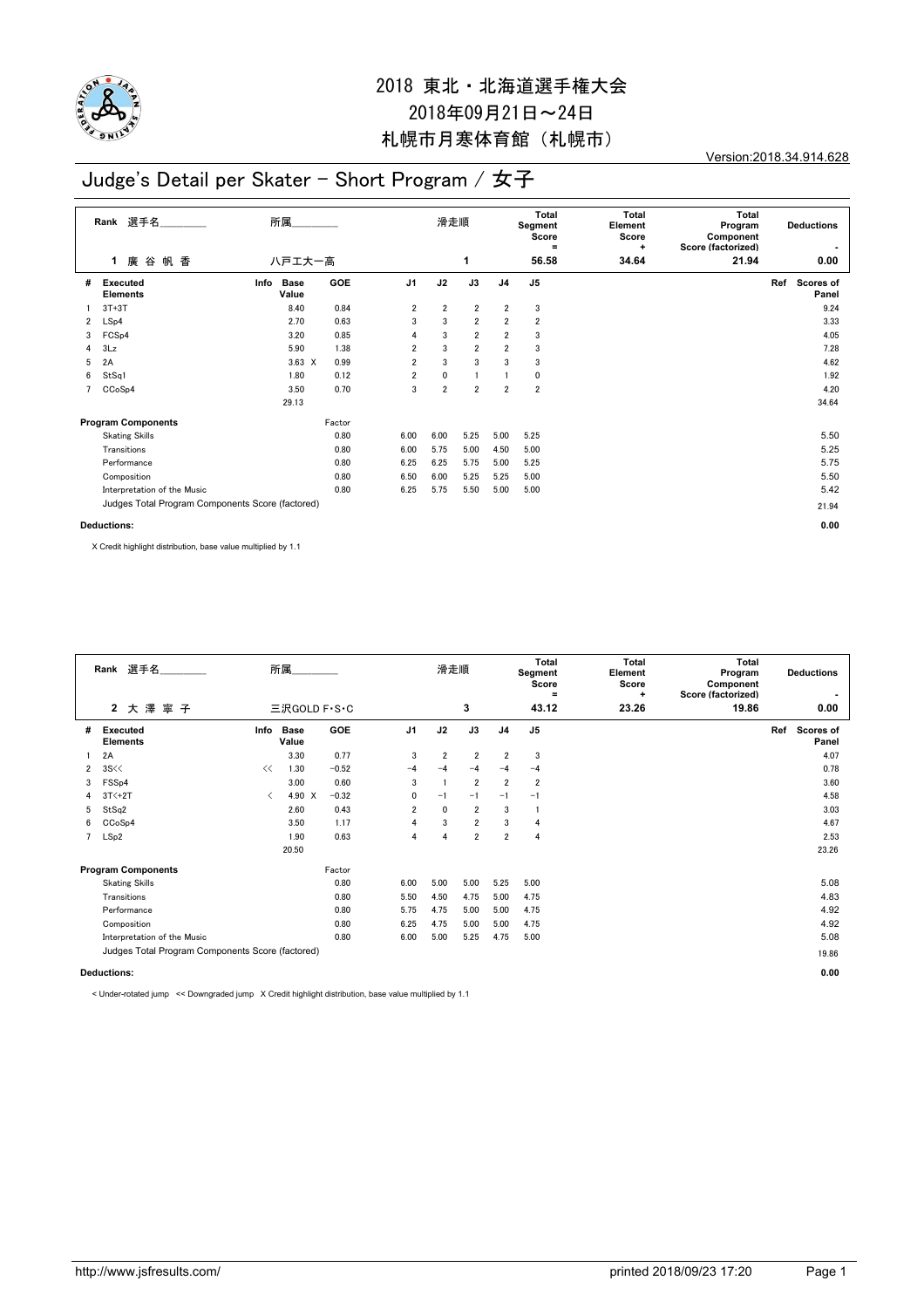

Version:2018.34.914.628

## Judge's Detail per Skater - Short Program / 女子

|                | 選手名<br>Rank                                      | 所属                           |        | 滑走順            |                |                | Total<br>Segment<br>Score<br>$\equiv$ | Total<br>Element<br>Score<br>÷ | <b>Total</b><br>Program<br>Component<br>Score (factorized) | <b>Deductions</b><br>$\blacksquare$ |     |                           |
|----------------|--------------------------------------------------|------------------------------|--------|----------------|----------------|----------------|---------------------------------------|--------------------------------|------------------------------------------------------------|-------------------------------------|-----|---------------------------|
|                | 廣 谷<br>帆 香<br>1                                  | 八戸エ大一高                       |        |                |                | 1              |                                       | 56.58                          | 34.64                                                      | 21.94                               |     | 0.00                      |
| #              | Executed<br><b>Elements</b>                      | Info<br><b>Base</b><br>Value | GOE    | J <sub>1</sub> | J2             | J3             | J <sub>4</sub>                        | J <sub>5</sub>                 |                                                            |                                     | Ref | <b>Scores of</b><br>Panel |
|                | $3T+3T$                                          | 8.40                         | 0.84   | 2              | $\overline{2}$ | $\overline{2}$ | 2                                     | 3                              |                                                            |                                     |     | 9.24                      |
| $\overline{2}$ | LSp4                                             | 2.70                         | 0.63   | 3              | 3              | $\overline{2}$ | $\overline{2}$                        | $\overline{\mathbf{2}}$        |                                                            |                                     |     | 3.33                      |
| 3              | FCS <sub>p4</sub>                                | 3.20                         | 0.85   | 4              | 3              | $\overline{2}$ | $\overline{2}$                        | 3                              |                                                            |                                     |     | 4.05                      |
| 4              | 3Lz                                              | 5.90                         | 1.38   | $\overline{2}$ | 3              | $\overline{2}$ | $\overline{2}$                        | 3                              |                                                            |                                     |     | 7.28                      |
| 5              | 2A                                               | $3.63 \times$                | 0.99   | 2              | 3              | 3              | 3                                     | 3                              |                                                            |                                     |     | 4.62                      |
| 6              | StSq1                                            | 1.80                         | 0.12   | $\overline{2}$ | 0              | $\mathbf{1}$   | $\mathbf{1}$                          | 0                              |                                                            |                                     |     | 1.92                      |
|                | CCoSp4                                           | 3.50                         | 0.70   | 3              | $\overline{2}$ | $\overline{2}$ | $\overline{2}$                        | $\overline{2}$                 |                                                            |                                     |     | 4.20                      |
|                |                                                  | 29.13                        |        |                |                |                |                                       |                                |                                                            |                                     |     | 34.64                     |
|                | <b>Program Components</b>                        |                              | Factor |                |                |                |                                       |                                |                                                            |                                     |     |                           |
|                | <b>Skating Skills</b>                            |                              | 0.80   | 6.00           | 6.00           | 5.25           | 5.00                                  | 5.25                           |                                                            |                                     |     | 5.50                      |
|                | Transitions                                      |                              | 0.80   | 6.00           | 5.75           | 5.00           | 4.50                                  | 5.00                           |                                                            |                                     |     | 5.25                      |
|                | Performance                                      |                              | 0.80   | 6.25           | 6.25           | 5.75           | 5.00                                  | 5.25                           |                                                            |                                     |     | 5.75                      |
|                | Composition                                      |                              | 0.80   | 6.50           | 6.00           | 5.25           | 5.25                                  | 5.00                           |                                                            |                                     |     | 5.50                      |
|                | Interpretation of the Music                      |                              | 0.80   | 6.25           | 5.75           | 5.50           | 5.00                                  | 5.00                           |                                                            |                                     |     | 5.42                      |
|                | Judges Total Program Components Score (factored) |                              |        |                |                |                |                                       |                                |                                                            |                                     |     | 21.94                     |
|                | Deductions:                                      |                              |        |                |                |                |                                       |                                |                                                            |                                     |     | 0.00                      |

X Credit highlight distribution, base value multiplied by 1.1

|                    | 選手名<br>Rank                                      | 所属                                       |                      |              |                | 滑走順            |                |                | <b>Total</b><br>Segment<br>Score<br>$\equiv$ | <b>Total</b><br>Element<br>Score<br>٠ | Total<br><b>Deductions</b><br>Program<br>Component<br>Score (factorized) |                                  |
|--------------------|--------------------------------------------------|------------------------------------------|----------------------|--------------|----------------|----------------|----------------|----------------|----------------------------------------------|---------------------------------------|--------------------------------------------------------------------------|----------------------------------|
|                    | 2 大澤寧子                                           |                                          |                      | 三沢GOLD F·S·C |                | 3              |                |                | 43.12                                        | 23.26                                 | 19.86                                                                    | 0.00                             |
| #                  | Executed<br><b>Elements</b>                      | Info                                     | <b>Base</b><br>Value | <b>GOE</b>   | J <sub>1</sub> | J2             | J3             | J <sub>4</sub> | J <sub>5</sub>                               |                                       |                                                                          | Ref<br><b>Scores of</b><br>Panel |
|                    | 2A                                               |                                          | 3.30                 | 0.77         | 3              | $\overline{2}$ | $\overline{2}$ | $\overline{2}$ | 3                                            |                                       |                                                                          | 4.07                             |
| $\mathbf{2}$       | 3S <                                             | <<                                       | 1.30                 | $-0.52$      | $-4$           | $-4$           | $-4$           | $-4$           | $-4$                                         |                                       |                                                                          | 0.78                             |
| 3                  | FSS <sub>p4</sub>                                |                                          | 3.00                 | 0.60         | 3              |                | $\overline{2}$ | $\overline{2}$ | $\overline{2}$                               |                                       |                                                                          | 3.60                             |
| 4                  | $3T<+2T$                                         | $\overline{\left\langle \right\rangle }$ | 4.90 X               | $-0.32$      | 0              | $-1$           | $-1$           | $-1$           | $-1$                                         |                                       |                                                                          | 4.58                             |
| 5                  | StSq2                                            |                                          | 2.60                 | 0.43         | $\overline{2}$ | 0              | $\overline{2}$ | 3              | -1                                           |                                       |                                                                          | 3.03                             |
| 6                  | CCoSp4                                           |                                          | 3.50                 | 1.17         | 4              | 3              | $\overline{2}$ | 3              | 4                                            |                                       |                                                                          | 4.67                             |
| $7^{\circ}$        | LSp2                                             |                                          | 1.90                 | 0.63         | 4              | 4              | $\overline{2}$ | $\overline{2}$ | 4                                            |                                       |                                                                          | 2.53                             |
|                    |                                                  |                                          | 20.50                |              |                |                |                |                |                                              |                                       |                                                                          | 23.26                            |
|                    | <b>Program Components</b>                        |                                          |                      | Factor       |                |                |                |                |                                              |                                       |                                                                          |                                  |
|                    | <b>Skating Skills</b>                            |                                          |                      | 0.80         | 6.00           | 5.00           | 5.00           | 5.25           | 5.00                                         |                                       |                                                                          | 5.08                             |
|                    | Transitions                                      |                                          |                      | 0.80         | 5.50           | 4.50           | 4.75           | 5.00           | 4.75                                         |                                       |                                                                          | 4.83                             |
|                    | Performance                                      |                                          |                      | 0.80         | 5.75           | 4.75           | 5.00           | 5.00           | 4.75                                         |                                       |                                                                          | 4.92                             |
|                    | Composition                                      |                                          |                      | 0.80         | 6.25           | 4.75           | 5.00           | 5.00           | 4.75                                         |                                       |                                                                          | 4.92                             |
|                    | Interpretation of the Music                      |                                          |                      | 0.80         | 6.00           | 5.00           | 5.25           | 4.75           | 5.00                                         |                                       |                                                                          | 5.08                             |
|                    | Judges Total Program Components Score (factored) |                                          |                      |              |                |                |                |                | 19.86                                        |                                       |                                                                          |                                  |
| <b>Deductions:</b> |                                                  |                                          |                      |              |                |                |                |                |                                              |                                       | 0.00                                                                     |                                  |

< Under-rotated jump << Downgraded jump X Credit highlight distribution, base value multiplied by 1.1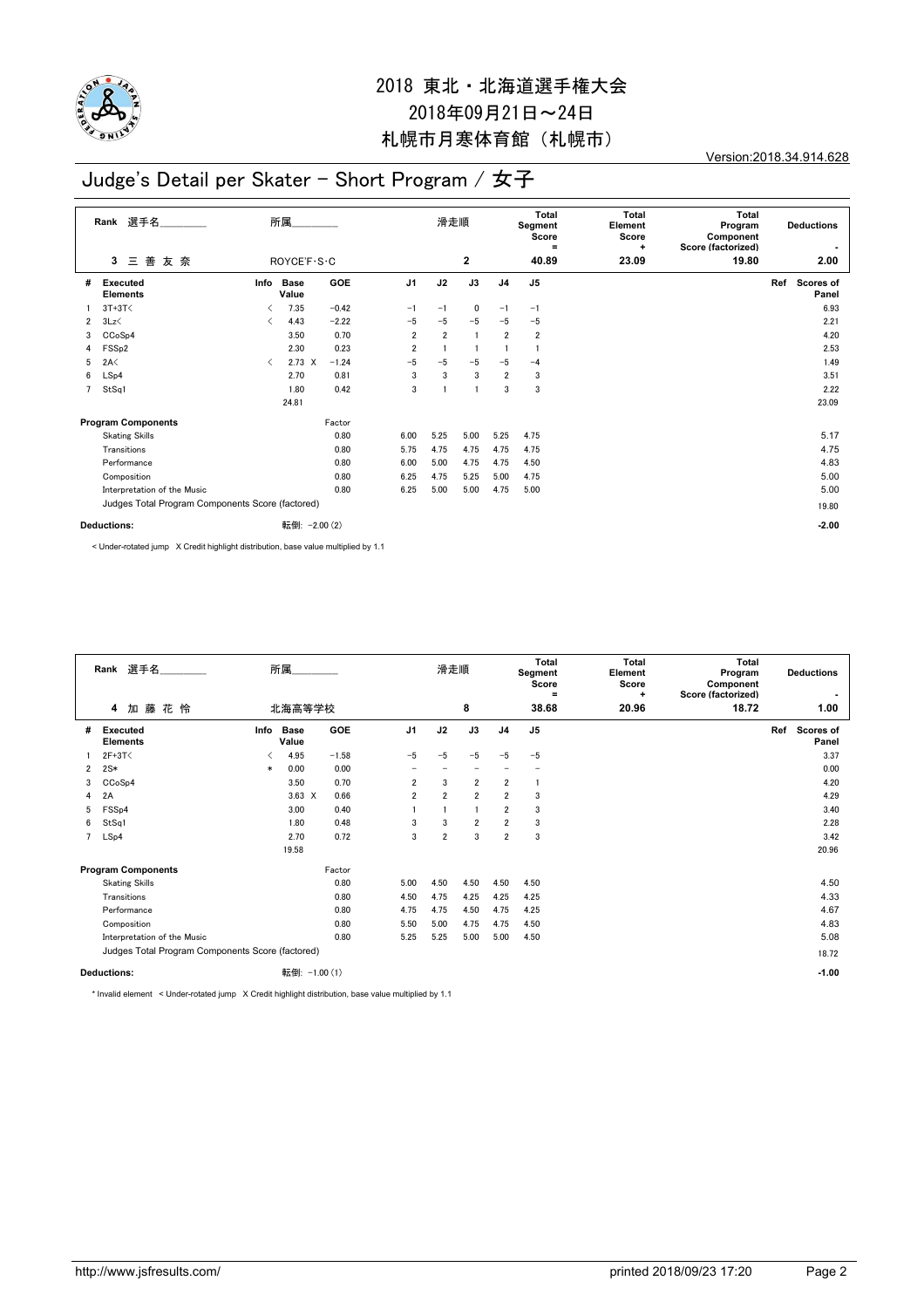

Version:2018.34.914.628

## Judge's Detail per Skater - Short Program / 女子

|                | 選手名<br>Rank                                      | 所属                            |                      |            |                | 滑走順            |                |                | Total<br>Segment<br>Score<br>$\equiv$ | <b>Total</b><br>Element<br>Score<br>+ | <b>Total</b><br>Program<br>Component<br>Score (factorized) |     | <b>Deductions</b>         |
|----------------|--------------------------------------------------|-------------------------------|----------------------|------------|----------------|----------------|----------------|----------------|---------------------------------------|---------------------------------------|------------------------------------------------------------|-----|---------------------------|
|                | 善<br>友奈<br>3<br>三                                |                               | ROYCE'F · S · C      |            |                |                | $\mathbf{2}$   |                | 40.89                                 | 23.09                                 | 19.80                                                      |     | 2.00                      |
| #              | Executed<br><b>Elements</b>                      | Info                          | <b>Base</b><br>Value | GOE        | J <sub>1</sub> | J2             | J3             | J <sub>4</sub> | J <sub>5</sub>                        |                                       |                                                            | Ref | <b>Scores of</b><br>Panel |
|                | $3T+3T<$                                         | ≺                             | 7.35                 | $-0.42$    | $-1$           | $-1$           | 0              | $-1$           | $-1$                                  |                                       |                                                            |     | 6.93                      |
| $\overline{2}$ | 3Lz                                              | $\overline{\left( \right. }%$ | 4.43                 | $-2.22$    | $-5$           | $-5$           | $-5$           | $-5$           | $-5$                                  |                                       |                                                            |     | 2.21                      |
| 3              | CCoSp4                                           |                               | 3.50                 | 0.70       | $\overline{2}$ | $\overline{2}$ | $\overline{1}$ | $\overline{2}$ | 2                                     |                                       |                                                            |     | 4.20                      |
| 4              | FSS <sub>p2</sub>                                |                               | 2.30                 | 0.23       | $\overline{2}$ |                |                |                |                                       |                                       |                                                            |     | 2.53                      |
| 5              | 2A<                                              | $\langle$                     | $2.73 \times$        | $-1.24$    | $-5$           | $-5$           | $-5$           | $-5$           | $-4$                                  |                                       |                                                            |     | 1.49                      |
| 6              | LSp4                                             |                               | 2.70                 | 0.81       | 3              | 3              | 3              | $\overline{2}$ | 3                                     |                                       |                                                            |     | 3.51                      |
| $\overline{7}$ | StSq1                                            |                               | 1.80                 | 0.42       | 3              |                | -1             | 3              | 3                                     |                                       |                                                            |     | 2.22                      |
|                |                                                  |                               | 24.81                |            |                |                |                |                |                                       |                                       |                                                            |     | 23.09                     |
|                | <b>Program Components</b>                        |                               |                      | Factor     |                |                |                |                |                                       |                                       |                                                            |     |                           |
|                | <b>Skating Skills</b>                            |                               |                      | 0.80       | 6.00           | 5.25           | 5.00           | 5.25           | 4.75                                  |                                       |                                                            |     | 5.17                      |
|                | Transitions                                      |                               |                      | 0.80       | 5.75           | 4.75           | 4.75           | 4.75           | 4.75                                  |                                       |                                                            |     | 4.75                      |
|                | Performance                                      |                               |                      | 0.80       | 6.00           | 5.00           | 4.75           | 4.75           | 4.50                                  |                                       |                                                            |     | 4.83                      |
|                | Composition                                      |                               |                      | 0.80       | 6.25           | 4.75           | 5.25           | 5.00           | 4.75                                  |                                       |                                                            |     | 5.00                      |
|                | Interpretation of the Music                      |                               |                      | 0.80       | 6.25           | 5.00           | 5.00           | 4.75           | 5.00                                  |                                       |                                                            |     | 5.00                      |
|                | Judges Total Program Components Score (factored) |                               |                      |            |                |                |                |                |                                       |                                       |                                                            |     | 19.80                     |
|                | Deductions:                                      |                               | 転倒:                  | $-2.00(2)$ |                |                |                |                |                                       |                                       |                                                            |     | $-2.00$                   |

< Under-rotated jump X Credit highlight distribution, base value multiplied by 1.1

|                | 選手名<br>Rank                                      | 所属                   |               | 滑走順            |                |                | <b>Total</b><br>Segment<br>Score<br>Ξ | <b>Total</b><br>Element<br>Score<br>٠ | Total<br><b>Deductions</b><br>Program<br>Component<br>Score (factorized) |       |                                  |
|----------------|--------------------------------------------------|----------------------|---------------|----------------|----------------|----------------|---------------------------------------|---------------------------------------|--------------------------------------------------------------------------|-------|----------------------------------|
|                | 加藤花怜<br>4                                        | 北海高等学校               |               |                |                | 8              |                                       | 38.68                                 | 20.96                                                                    | 18.72 | 1.00                             |
| #              | Info<br>Executed<br><b>Elements</b>              | <b>Base</b><br>Value | <b>GOE</b>    | J <sub>1</sub> | J2             | J3             | J <sub>4</sub>                        | J <sub>5</sub>                        |                                                                          |       | Ref<br><b>Scores of</b><br>Panel |
|                | $2F+3T<$                                         | 4.95                 | $-1.58$       | $-5$           | $-5$           | $-5$           | $-5$                                  | $-5$                                  |                                                                          |       | 3.37                             |
| $\mathbf{2}$   | $2S*$<br>$\ast$                                  | 0.00                 | 0.00          |                |                |                |                                       |                                       |                                                                          |       | 0.00                             |
| 3              | CCoSp4                                           | 3.50                 | 0.70          | $\overline{2}$ | 3              | $\overline{2}$ | $\overline{2}$                        |                                       |                                                                          |       | 4.20                             |
| $\overline{4}$ | 2A                                               | $3.63 \times$        | 0.66          | $\overline{2}$ | $\overline{2}$ | $\overline{2}$ | $\overline{2}$                        | 3                                     |                                                                          |       | 4.29                             |
| 5              | FSS <sub>p4</sub>                                | 3.00                 | 0.40          |                |                | $\overline{1}$ | $\overline{2}$                        | 3                                     |                                                                          |       | 3.40                             |
| 6              | StSq1                                            | 1.80                 | 0.48          | 3              | 3              | $\overline{2}$ | $\overline{2}$                        | 3                                     |                                                                          |       | 2.28                             |
| $7^{\circ}$    | LSp4                                             | 2.70                 | 0.72          | 3              | $\overline{2}$ | 3              | $\overline{2}$                        | 3                                     |                                                                          |       | 3.42                             |
|                |                                                  | 19.58                |               |                |                |                |                                       |                                       |                                                                          |       | 20.96                            |
|                | <b>Program Components</b>                        |                      | Factor        |                |                |                |                                       |                                       |                                                                          |       |                                  |
|                | <b>Skating Skills</b>                            |                      | 0.80          | 5.00           | 4.50           | 4.50           | 4.50                                  | 4.50                                  |                                                                          |       | 4.50                             |
|                | Transitions                                      |                      | 0.80          | 4.50           | 4.75           | 4.25           | 4.25                                  | 4.25                                  |                                                                          |       | 4.33                             |
|                | Performance                                      |                      | 0.80          | 4.75           | 4.75           | 4.50           | 4.75                                  | 4.25                                  |                                                                          |       | 4.67                             |
|                | Composition                                      |                      | 0.80          | 5.50           | 5.00           | 4.75           | 4.75                                  | 4.50                                  |                                                                          |       | 4.83                             |
|                | Interpretation of the Music                      |                      | 0.80          | 5.25           | 5.25           | 5.00           | 5.00                                  | 4.50                                  |                                                                          |       | 5.08                             |
|                | Judges Total Program Components Score (factored) |                      |               |                |                |                |                                       |                                       |                                                                          |       | 18.72                            |
|                | <b>Deductions:</b>                               |                      | 転倒: -1.00 (1) |                |                |                |                                       |                                       |                                                                          |       | $-1.00$                          |

\* Invalid element < Under-rotated jump X Credit highlight distribution, base value multiplied by 1.1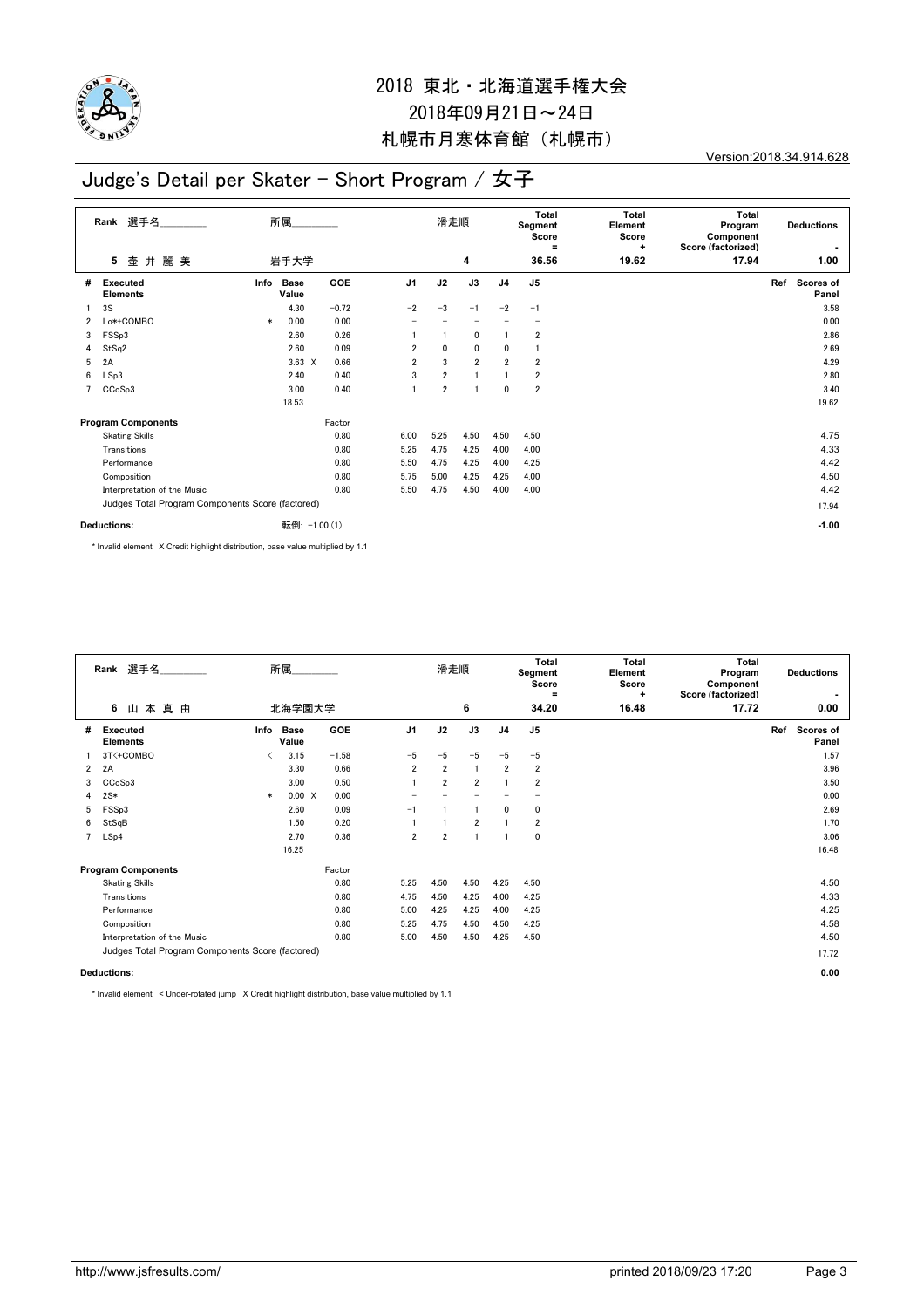

Version:2018.34.914.628

## Judge's Detail per Skater - Short Program / 女子

|                | 選手名<br>Rank                                      | 所属     |                      |               |                          | 滑走順                      |                          |                          | Total<br>Segment<br>Score<br>$\equiv$ | Total<br>Element<br>Score<br>÷ | <b>Total</b><br>Program<br>Component<br>Score (factorized) | <b>Deductions</b> |                           |
|----------------|--------------------------------------------------|--------|----------------------|---------------|--------------------------|--------------------------|--------------------------|--------------------------|---------------------------------------|--------------------------------|------------------------------------------------------------|-------------------|---------------------------|
|                | 麗美<br>5<br>壷<br>井                                |        | 岩手大学                 |               |                          |                          | 4                        |                          | 36.56                                 | 19.62                          | 17.94                                                      |                   | 1.00                      |
| #              | <b>Executed</b><br><b>Elements</b>               | Info   | <b>Base</b><br>Value | <b>GOE</b>    | J <sub>1</sub>           | J2                       | J3                       | J <sub>4</sub>           | J <sub>5</sub>                        |                                |                                                            | Ref               | <b>Scores of</b><br>Panel |
|                | 3S                                               |        | 4.30                 | $-0.72$       | $-2$                     | $-3$                     | $-1$                     | $-2$                     | $-1$                                  |                                |                                                            |                   | 3.58                      |
| $\overline{2}$ | Lo*+COMBO                                        | $\ast$ | 0.00                 | 0.00          | $\overline{\phantom{0}}$ | $\overline{\phantom{0}}$ | $\overline{\phantom{0}}$ | $\overline{\phantom{0}}$ | $\overline{\phantom{0}}$              |                                |                                                            |                   | 0.00                      |
| 3              | FSSp3                                            |        | 2.60                 | 0.26          |                          | $\mathbf{1}$             | 0                        |                          | 2                                     |                                |                                                            |                   | 2.86                      |
| 4              | StSq2                                            |        | 2.60                 | 0.09          | $\overline{2}$           | $\mathbf 0$              | $\mathbf 0$              | 0                        |                                       |                                |                                                            |                   | 2.69                      |
| 5              | 2A                                               |        | $3.63 \times$        | 0.66          | $\overline{2}$           | 3                        | $\overline{2}$           | 2                        | $\overline{\mathbf{2}}$               |                                |                                                            |                   | 4.29                      |
| 6              | LSp3                                             |        | 2.40                 | 0.40          | 3                        | $\overline{2}$           |                          |                          | $\overline{\mathbf{2}}$               |                                |                                                            |                   | 2.80                      |
|                | CCoSp3                                           |        | 3.00                 | 0.40          |                          | $\overline{2}$           |                          | 0                        | $\overline{\mathbf{2}}$               |                                |                                                            |                   | 3.40                      |
|                |                                                  |        | 18.53                |               |                          |                          |                          |                          |                                       |                                |                                                            |                   | 19.62                     |
|                | <b>Program Components</b>                        |        |                      | Factor        |                          |                          |                          |                          |                                       |                                |                                                            |                   |                           |
|                | <b>Skating Skills</b>                            |        |                      | 0.80          | 6.00                     | 5.25                     | 4.50                     | 4.50                     | 4.50                                  |                                |                                                            |                   | 4.75                      |
|                | Transitions                                      |        |                      | 0.80          | 5.25                     | 4.75                     | 4.25                     | 4.00                     | 4.00                                  |                                |                                                            |                   | 4.33                      |
|                | Performance                                      |        |                      | 0.80          | 5.50                     | 4.75                     | 4.25                     | 4.00                     | 4.25                                  |                                |                                                            |                   | 4.42                      |
|                | Composition                                      |        |                      | 0.80          | 5.75                     | 5.00                     | 4.25                     | 4.25                     | 4.00                                  |                                |                                                            |                   | 4.50                      |
|                | Interpretation of the Music                      |        |                      | 0.80          | 5.50                     | 4.75                     | 4.50                     | 4.00                     | 4.00                                  |                                |                                                            |                   | 4.42                      |
|                | Judges Total Program Components Score (factored) |        |                      |               |                          |                          |                          |                          |                                       |                                |                                                            |                   | 17.94                     |
|                | <b>Deductions:</b>                               |        |                      | 転倒: -1.00 (1) |                          |                          |                          |                          |                                       |                                |                                                            |                   | $-1.00$                   |

\* Invalid element X Credit highlight distribution, base value multiplied by 1.1

|                                                  | Rank 選手名                         | 所属     |                      |            |                          | 滑走順            |                |                | Total<br>Segment<br>Score<br>$\equiv$ | <b>Total</b><br>Element<br>Score<br>÷ | Total<br><b>Deductions</b><br>Program<br>Component<br>Score (factorized) |                                  |  |
|--------------------------------------------------|----------------------------------|--------|----------------------|------------|--------------------------|----------------|----------------|----------------|---------------------------------------|---------------------------------------|--------------------------------------------------------------------------|----------------------------------|--|
|                                                  | 6 山本真由                           |        | 北海学園大学               |            |                          |                | 6              |                | 34.20                                 | 16.48                                 | 17.72                                                                    | 0.00                             |  |
| #                                                | Executed<br><b>Elements</b>      | Info   | <b>Base</b><br>Value | <b>GOE</b> | J <sub>1</sub>           | J2             | J3             | J <sub>4</sub> | J <sub>5</sub>                        |                                       |                                                                          | Ref<br><b>Scores of</b><br>Panel |  |
|                                                  | 3T<+COMBO                        | ✓      | 3.15                 | $-1.58$    | $-5$                     | $-5$           | $-5$           | $-5$           | $-5$                                  |                                       |                                                                          | 1.57                             |  |
| $\mathbf{2}$                                     | 2A                               |        | 3.30                 | 0.66       | $\overline{2}$           | $\overline{2}$ | $\overline{1}$ | $\overline{2}$ | $\overline{\mathbf{2}}$               |                                       |                                                                          | 3.96                             |  |
| 3                                                | CC <sub>o</sub> S <sub>p</sub> 3 |        | 3.00                 | 0.50       |                          | $\overline{2}$ | $\overline{2}$ |                | $\overline{\mathbf{2}}$               |                                       |                                                                          | 3.50                             |  |
| 4                                                | $2S*$                            | $\ast$ | 0.00 X               | 0.00       | $\overline{\phantom{0}}$ |                |                |                |                                       |                                       |                                                                          | 0.00                             |  |
| 5                                                | FSS <sub>p3</sub>                |        | 2.60                 | 0.09       | $-1$                     |                |                | 0              | 0                                     |                                       |                                                                          | 2.69                             |  |
| 6                                                | StSqB                            |        | 1.50                 | 0.20       |                          |                | $\overline{2}$ |                | $\overline{\mathbf{2}}$               |                                       |                                                                          | 1.70                             |  |
| $7^{\circ}$                                      | LSp4                             |        | 2.70                 | 0.36       | 2                        | $\overline{2}$ |                |                | 0                                     |                                       |                                                                          | 3.06                             |  |
|                                                  |                                  |        | 16.25                |            |                          |                |                |                |                                       |                                       |                                                                          | 16.48                            |  |
|                                                  | <b>Program Components</b>        |        |                      | Factor     |                          |                |                |                |                                       |                                       |                                                                          |                                  |  |
|                                                  | <b>Skating Skills</b>            |        |                      | 0.80       | 5.25                     | 4.50           | 4.50           | 4.25           | 4.50                                  |                                       |                                                                          | 4.50                             |  |
|                                                  | Transitions                      |        |                      | 0.80       | 4.75                     | 4.50           | 4.25           | 4.00           | 4.25                                  |                                       |                                                                          | 4.33                             |  |
|                                                  | Performance                      |        |                      | 0.80       | 5.00                     | 4.25           | 4.25           | 4.00           | 4.25                                  |                                       |                                                                          | 4.25                             |  |
|                                                  | Composition                      |        |                      | 0.80       | 5.25                     | 4.75           | 4.50           | 4.50           | 4.25                                  |                                       |                                                                          | 4.58                             |  |
|                                                  | Interpretation of the Music      |        |                      | 0.80       | 5.00                     | 4.50           | 4.50           | 4.25           | 4.50                                  |                                       |                                                                          | 4.50                             |  |
| Judges Total Program Components Score (factored) |                                  |        |                      |            |                          |                |                |                |                                       |                                       |                                                                          | 17.72                            |  |
|                                                  | <b>Deductions:</b>               |        |                      |            |                          |                |                |                |                                       |                                       | 0.00                                                                     |                                  |  |

\* Invalid element < Under-rotated jump X Credit highlight distribution, base value multiplied by 1.1